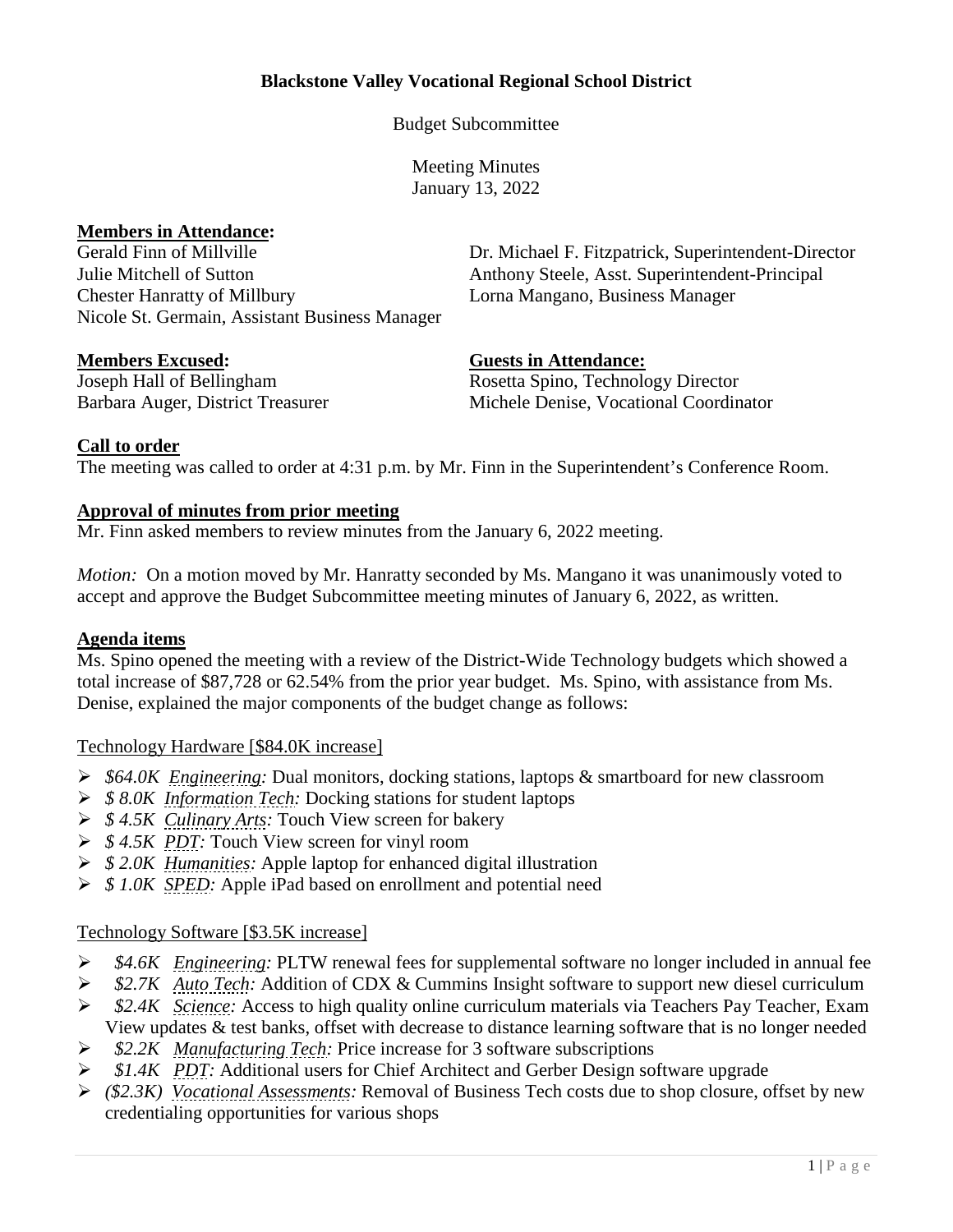# **Blackstone Valley Vocational Regional School District**

Budget Subcommittee

Meeting Minutes January 13, 2022

# **Members in Attendance:**

Gerald Finn of Millville **Dr. Michael F. Fitzpatrick, Superintendent-Director** Julie Mitchell of Sutton Anthony Steele, Asst. Superintendent-Principal Chester Hanratty of Millbury Lorna Mangano, Business Manager Nicole St. Germain, Assistant Business Manager

**Members Excused: Guests in Attendance:**

Joseph Hall of Bellingham Rosetta Spino, Technology Director Barbara Auger, District Treasurer Michele Denise, Vocational Coordinator

# **Call to order**

The meeting was called to order at 4:31 p.m. by Mr. Finn in the Superintendent's Conference Room.

#### **Approval of minutes from prior meeting**

Mr. Finn asked members to review minutes from the January 6, 2022 meeting.

*Motion:* On a motion moved by Mr. Hanratty seconded by Ms. Mangano it was unanimously voted to accept and approve the Budget Subcommittee meeting minutes of January 6, 2022, as written.

## **Agenda items**

Ms. Spino opened the meeting with a review of the District-Wide Technology budgets which showed a total increase of \$87,728 or 62.54% from the prior year budget. Ms. Spino, with assistance from Ms. Denise, explained the major components of the budget change as follows:

#### Technology Hardware [\$84.0K increase]

- *\$64.0K Engineering:* Dual monitors, docking stations, laptops & smartboard for new classroom
- *\$ 8.0K Information Tech:* Docking stations for student laptops
- *\$ 4.5K Culinary Arts:* Touch View screen for bakery
- *\$ 4.5K PDT:* Touch View screen for vinyl room
- *\$ 2.0K Humanities:* Apple laptop for enhanced digital illustration
- *\$ 1.0K SPED:* Apple iPad based on enrollment and potential need

## Technology Software [\$3.5K increase]

- *\$4.6K Engineering:* PLTW renewal fees for supplemental software no longer included in annual fee
- *\$2.7K Auto Tech:* Addition of CDX & Cummins Insight software to support new diesel curriculum
- *\$2.4K Science:* Access to high quality online curriculum materials via Teachers Pay Teacher, Exam View updates & test banks, offset with decrease to distance learning software that is no longer needed
- *\$2.2K Manufacturing Tech:* Price increase for 3 software subscriptions
- *\$1.4K PDT:* Additional users for Chief Architect and Gerber Design software upgrade
- *(\$2.3K) Vocational Assessments:* Removal of Business Tech costs due to shop closure, offset by new credentialing opportunities for various shops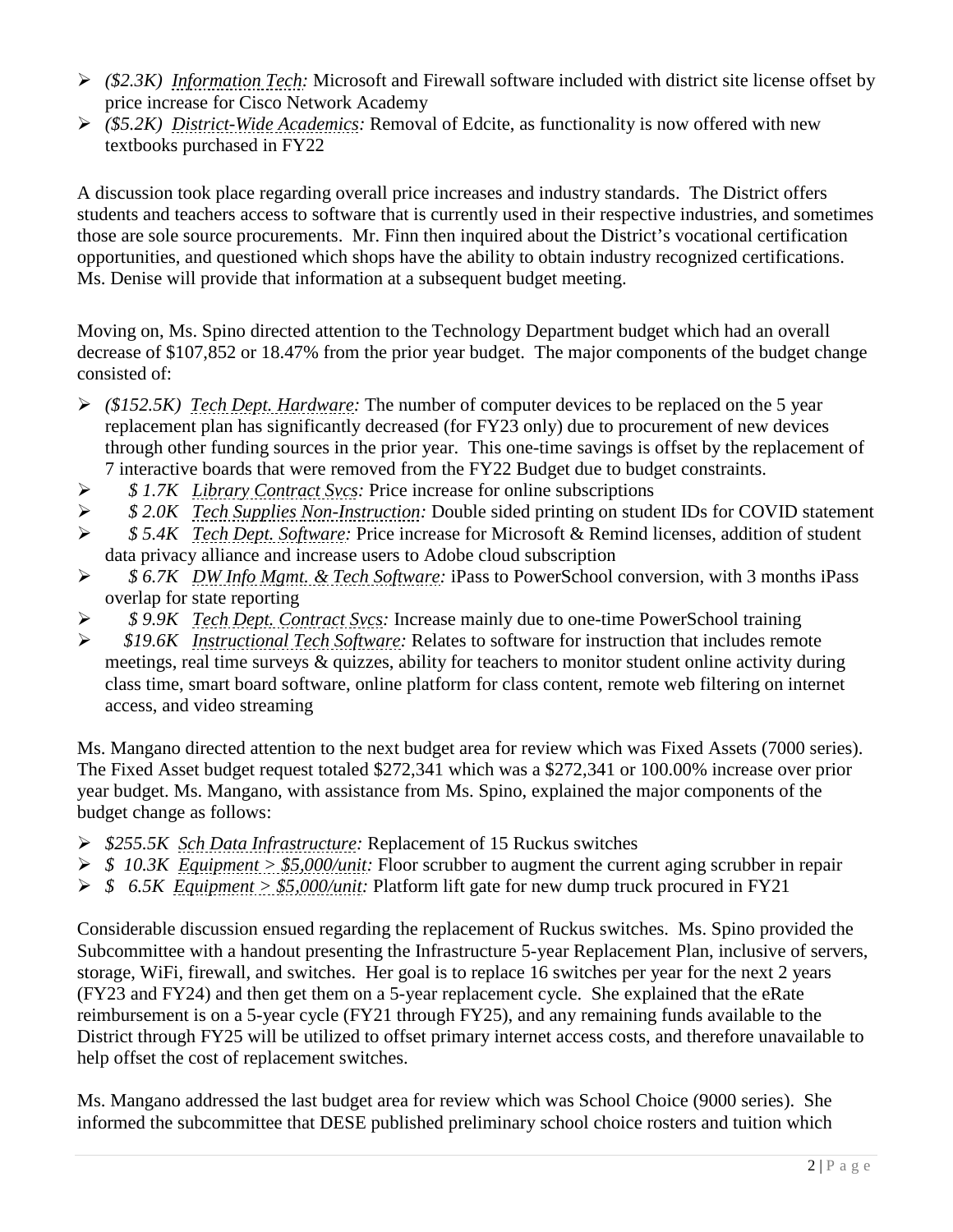- *(\$2.3K) Information Tech:* Microsoft and Firewall software included with district site license offset by price increase for Cisco Network Academy
- *(\$5.2K) District-Wide Academics:* Removal of Edcite, as functionality is now offered with new textbooks purchased in FY22

A discussion took place regarding overall price increases and industry standards. The District offers students and teachers access to software that is currently used in their respective industries, and sometimes those are sole source procurements. Mr. Finn then inquired about the District's vocational certification opportunities, and questioned which shops have the ability to obtain industry recognized certifications. Ms. Denise will provide that information at a subsequent budget meeting.

Moving on, Ms. Spino directed attention to the Technology Department budget which had an overall decrease of \$107,852 or 18.47% from the prior year budget. The major components of the budget change consisted of:

- *(\$152.5K) Tech Dept. Hardware:* The number of computer devices to be replaced on the 5 year replacement plan has significantly decreased (for FY23 only) due to procurement of new devices through other funding sources in the prior year. This one-time savings is offset by the replacement of 7 interactive boards that were removed from the FY22 Budget due to budget constraints.
- *\$ 1.7K Library Contract Svcs:* Price increase for online subscriptions
- *\$ 2.0K Tech Supplies Non-Instruction:* Double sided printing on student IDs for COVID statement
- *\$ 5.4K Tech Dept. Software:* Price increase for Microsoft & Remind licenses, addition of student data privacy alliance and increase users to Adobe cloud subscription
- *\$ 6.7K DW Info Mgmt. & Tech Software:* iPass to PowerSchool conversion, with 3 months iPass overlap for state reporting
- *\$ 9.9K Tech Dept. Contract Svcs:* Increase mainly due to one-time PowerSchool training
- *\$19.6K Instructional Tech Software:* Relates to software for instruction that includes remote meetings, real time surveys & quizzes, ability for teachers to monitor student online activity during class time, smart board software, online platform for class content, remote web filtering on internet access, and video streaming

Ms. Mangano directed attention to the next budget area for review which was Fixed Assets (7000 series). The Fixed Asset budget request totaled \$272,341 which was a \$272,341 or 100.00% increase over prior year budget. Ms. Mangano, with assistance from Ms. Spino, explained the major components of the budget change as follows:

- *\$255.5K Sch Data Infrastructure:* Replacement of 15 Ruckus switches
- *\$ 10.3K Equipment > \$5,000/unit:* Floor scrubber to augment the current aging scrubber in repair
- *\$ 6.5K Equipment > \$5,000/unit:* Platform lift gate for new dump truck procured in FY21

Considerable discussion ensued regarding the replacement of Ruckus switches. Ms. Spino provided the Subcommittee with a handout presenting the Infrastructure 5-year Replacement Plan, inclusive of servers, storage, WiFi, firewall, and switches. Her goal is to replace 16 switches per year for the next 2 years (FY23 and FY24) and then get them on a 5-year replacement cycle. She explained that the eRate reimbursement is on a 5-year cycle (FY21 through FY25), and any remaining funds available to the District through FY25 will be utilized to offset primary internet access costs, and therefore unavailable to help offset the cost of replacement switches.

Ms. Mangano addressed the last budget area for review which was School Choice (9000 series). She informed the subcommittee that DESE published preliminary school choice rosters and tuition which